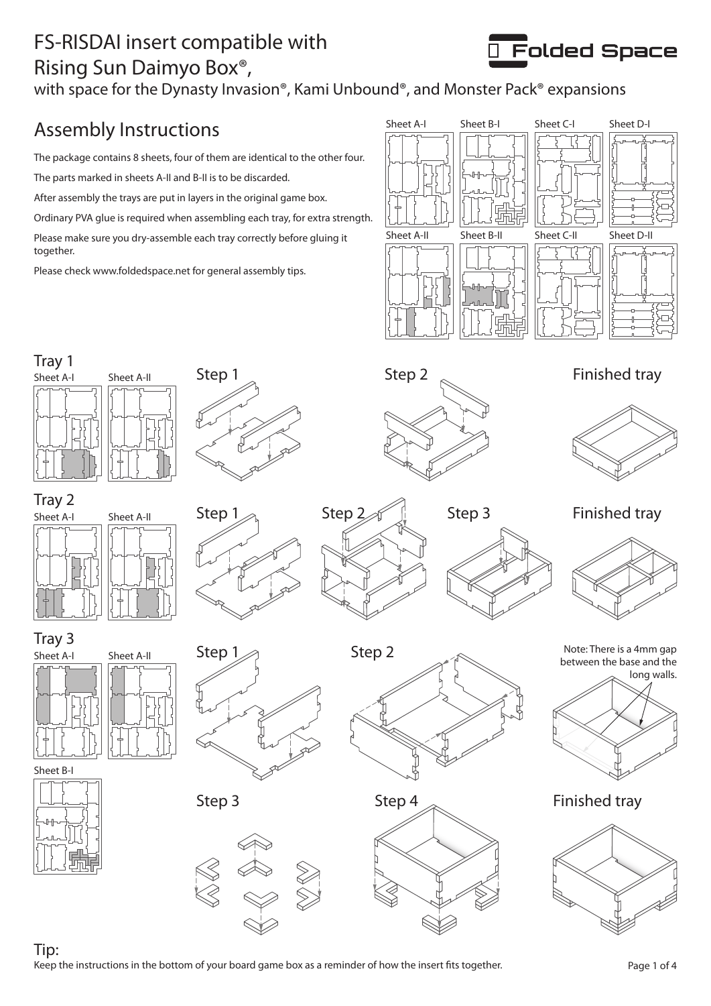## FS-RISDAI insert compatible with Rising Sun Daimyo Box®,



with space for the Dynasty Invasion®, Kami Unbound®, and Monster Pack® expansions

# Assembly Instructions

The package contains 8 sheets, four of them are identical to the other four.

The parts marked in sheets A-II and B-II is to be discarded.

After assembly the trays are put in layers in the original game box.

Ordinary PVA glue is required when assembling each tray, for extra strength.

Please make sure you dry-assemble each tray correctly before gluing it together.

Please check www.foldedspace.net for general assembly tips.



Finished tray



Tray 2 Sheet A-I Sheet A-II

Sheet A-I Sheet A-II

Tray 3

Sheet A-I Sheet A-II







Step  $1_{\text{max}}$  Step  $2_{\text{max}}$  Step 3 Finished tray Step 3



Note: There is a 4mm gap between the base and the





Sheet B-I



Tip: Keep the instructions in the bottom of your board game box as a reminder of how the insert fits together.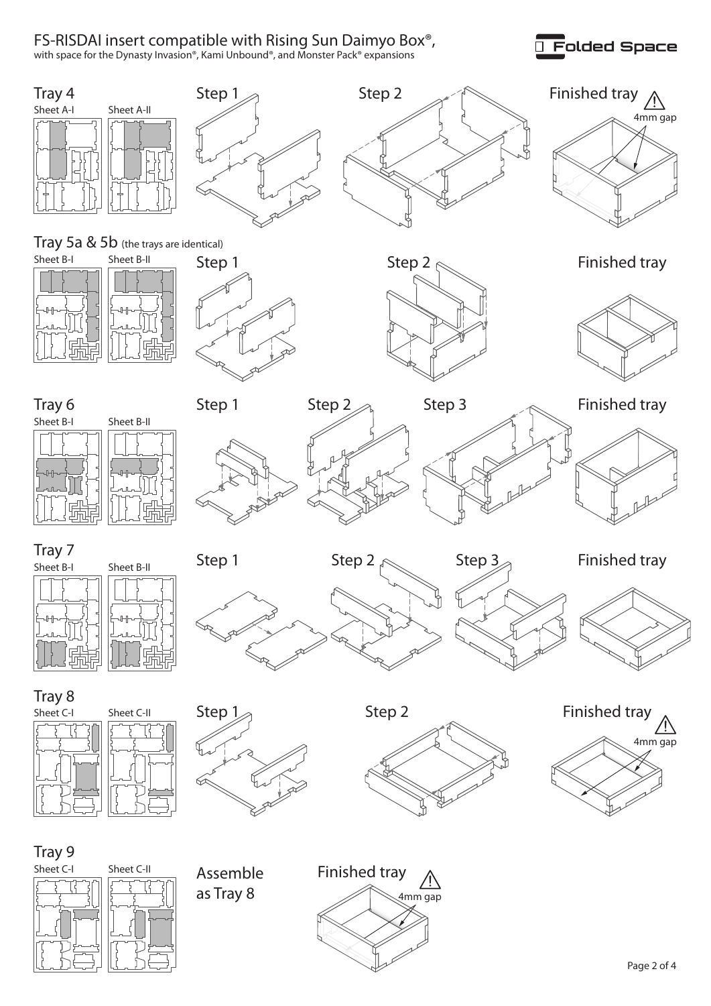#### FS-RISDAI insert compatible with Rising Sun Daimyo Box®,

with space for the Dynasty Invasion®, Kami Unbound®, and Monster Pack® expansions



Folded Space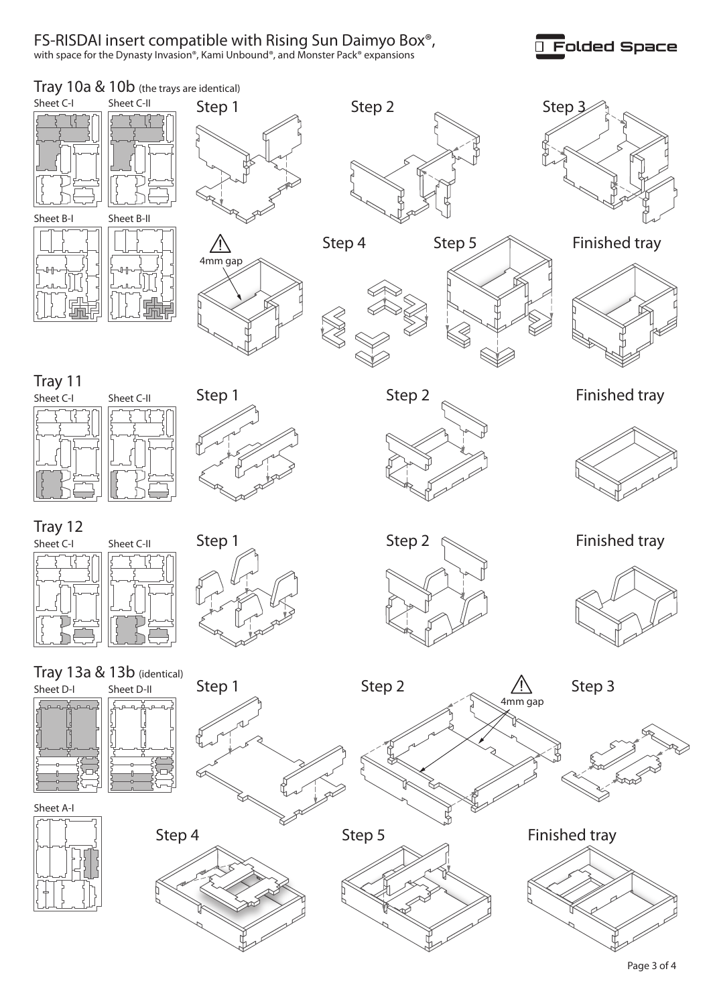#### FS-RISDAI insert compatible with Rising Sun Daimyo Box®,

with space for the Dynasty Invasion®, Kami Unbound®, and Monster Pack® expansions

### Folded Space